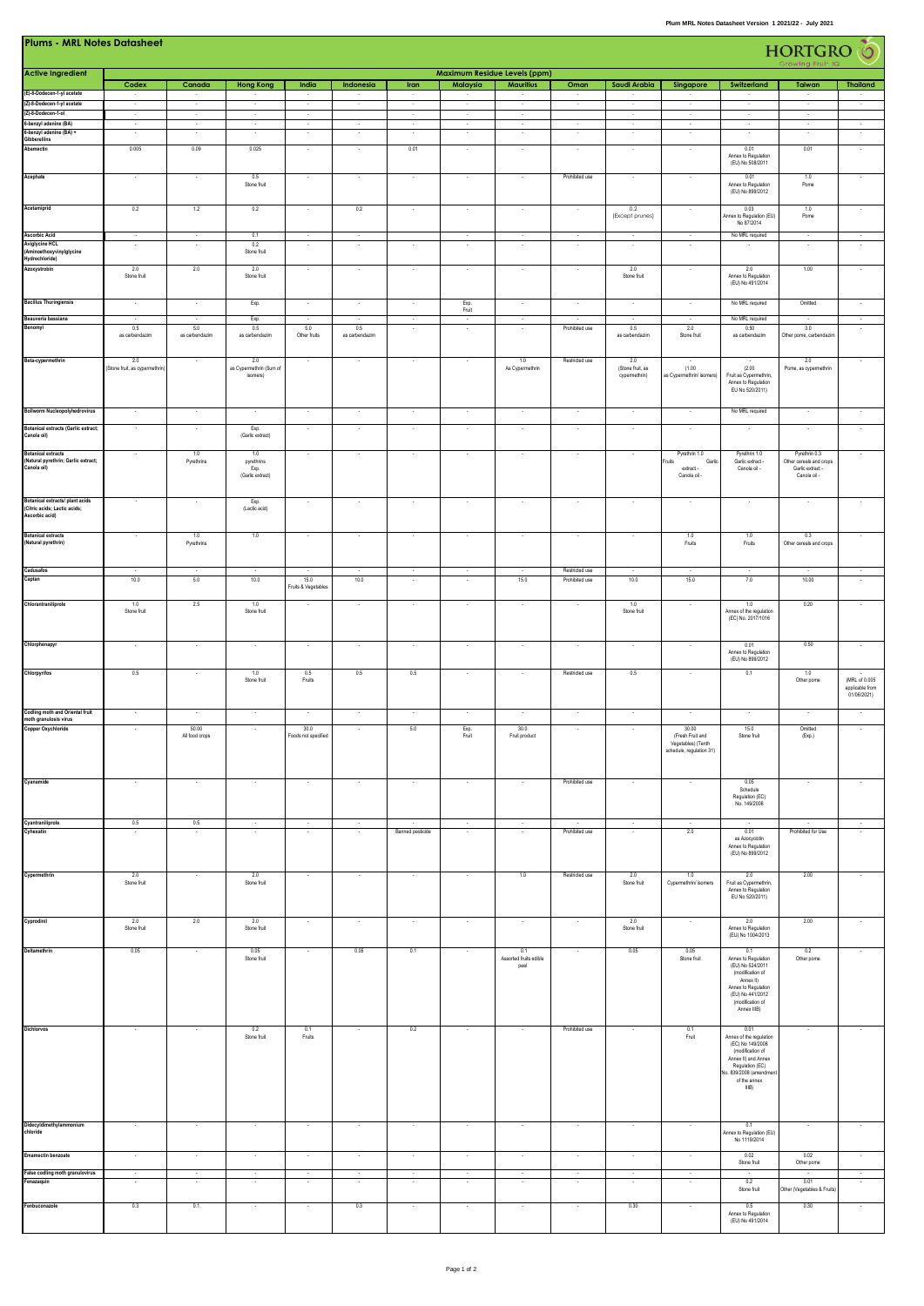| <b>Plums - MRL Notes Datasheet</b><br>HORTGRO                                     |                                       |                          |                                               |                             |                          |                                  |                          |                                     |                                  |                          |                                                                             |                                                                                                                                                                    |                                                                              |                                                 |
|-----------------------------------------------------------------------------------|---------------------------------------|--------------------------|-----------------------------------------------|-----------------------------|--------------------------|----------------------------------|--------------------------|-------------------------------------|----------------------------------|--------------------------|-----------------------------------------------------------------------------|--------------------------------------------------------------------------------------------------------------------------------------------------------------------|------------------------------------------------------------------------------|-------------------------------------------------|
| <b>Active Ingredient</b>                                                          |                                       |                          |                                               |                             |                          |                                  |                          | <b>Maximum Residue Levels (ppm)</b> |                                  |                          |                                                                             |                                                                                                                                                                    |                                                                              |                                                 |
| (E)-8-Dodecen-1-yl acetate                                                        | Codex<br>$\sim$                       | Canada                   | <b>Hong Kong</b>                              | India<br>$\sim$             | Indonesia                | Iran<br>$\overline{\phantom{a}}$ | Malaysia<br>÷.           | <b>Mauritius</b>                    | Oman<br>$\sim$                   | Saudi Arabia             | Singapore                                                                   | Switzerland                                                                                                                                                        | Taiwan<br>n.                                                                 | <b>Thailand</b><br>$\sim$                       |
| (Z)-8-Dodecen-1-yl acetate                                                        | $\overline{\phantom{a}}$              | ÷,                       | $\sim$                                        | Ŧ                           | ÷,                       | ×                                | Ŧ                        | ×                                   | Ξ                                | Ξ                        | ч.                                                                          | Ŧ                                                                                                                                                                  | $\sim$                                                                       | ×                                               |
| (Z)-8-Dodecen-1-ol<br>6-benzyl adenine (BA)                                       | ×<br>٠.                               | τ<br>τ                   | ×<br>÷                                        | ×<br>ч.                     | ÷                        | т<br>×                           | ×<br>÷                   | τ<br>π                              | $\sim$                           | $\sim$<br>ч.             | $\overline{\phantom{a}}$<br>$\sim$                                          | $\sim$<br>ч.                                                                                                                                                       | ×<br>$\sim$                                                                  | ч.                                              |
| 6-benzyl adenine (BA) +<br>Gibberellins                                           | $\cdot$                               | $\cdot$                  | $\sim$                                        | $\sim$                      | $\overline{\phantom{a}}$ | $\overline{\phantom{a}}$         | $\cdot$                  | $\cdot$                             | $\sim$                           | $\sim$                   | $\cdot$                                                                     | $\sim$                                                                                                                                                             | $\sim$                                                                       | $\cdot$                                         |
| Abamectin                                                                         | 0.005                                 | 0.09                     | 0.025                                         | $\cdot$                     | $\overline{\phantom{a}}$ | 0.01                             | $\sim$                   | $\sim$                              | $\sim$                           | $\sim$                   | $\overline{\phantom{a}}$                                                    | 0.01<br>Annex to Regulation                                                                                                                                        | 0.01                                                                         | $\cdot$                                         |
|                                                                                   |                                       |                          |                                               |                             |                          |                                  |                          |                                     |                                  |                          |                                                                             | (EU) No 508/2011                                                                                                                                                   |                                                                              |                                                 |
| Acephate                                                                          | $\cdot$                               | $\overline{\phantom{a}}$ | 0.5<br>Stone fruit                            | $\sim$                      | $\cdot$                  | $\overline{\phantom{a}}$         | $\cdot$                  | $\cdot$                             | Prohibited use                   | $\sim$                   | $\cdot$                                                                     | 0.01<br>Annex to Regulation<br>(EU) No 899/2012                                                                                                                    | 1.0<br>Pome                                                                  | $\cdot$                                         |
| Acetamiprid                                                                       | 0.2                                   | 1.2                      | 0.2                                           | $\epsilon$                  | 0.2                      | ÷,                               | $\cdot$                  | ÷.                                  | $\overline{\phantom{a}}$         | 0.2<br>(Except prunes)   | $\cdot$                                                                     | 0.03<br>Annex to Regulation (EU)<br>No 87/2014                                                                                                                     | 1.0<br>Pome                                                                  | $\cdot$                                         |
| <b>Ascorbic Acid</b>                                                              | $\overline{\phantom{a}}$              | ×                        | 0.1                                           | ٠                           |                          |                                  |                          | $\sim$                              | $\sim$                           |                          | $\overline{\phantom{a}}$                                                    | No MRL required                                                                                                                                                    | $\sim$                                                                       | $\overline{\phantom{a}}$                        |
| Aviglycine HCL<br>(Aminoethoxyvinylglycine                                        | $\sim$                                | ×                        | 0.2<br>Stone fruit                            | $\overline{\phantom{a}}$    | ÷.                       | $\sim$                           | $\sim$                   | ×                                   | ×                                | $\overline{\phantom{a}}$ | $\overline{\phantom{a}}$                                                    | $\sim$                                                                                                                                                             | $\sim$                                                                       | $\sim$                                          |
| Hydrochloride)<br>Azoxystrobin                                                    | 2.0                                   | $2.0\,$                  | $2.0\,$                                       |                             |                          |                                  |                          |                                     |                                  | $2.0\,$                  | $\cdot$                                                                     | 2.0                                                                                                                                                                | 1.00                                                                         |                                                 |
|                                                                                   | Stone fruit                           |                          | Stone fruit                                   |                             |                          |                                  |                          |                                     |                                  | Stone fruit              |                                                                             | Annex to Regulation<br>(EU) No 491/2014                                                                                                                            |                                                                              |                                                 |
| <b>Bacillus Thuringiensis</b>                                                     | $\sim$                                | $\cdot$                  | Exp.                                          | $\sim$                      | $\cdot$                  | $\cdot$                          | Exp.<br>Fruit            | $\sim$                              | $\bullet$                        | $\sim$                   | $\cdot$                                                                     | No MRL required                                                                                                                                                    | Omitted                                                                      | $\cdot$                                         |
| Beauveria bassiana<br>Benomyl                                                     | $\sim$<br>0.5                         | $\sim$<br>5.0            | Exp.<br>0.5                                   | $\sim$<br>5.0               | $\sim$<br>0.5            | $\sim$<br>$\epsilon$             | ×<br>$\cdot$             | $\sim$<br>÷,                        | ×<br>Prohibited use              | $\sim$<br>0.5            | $\sim$<br>2.0                                                               | No MRL required<br>0.50                                                                                                                                            | $\sim$<br>3.0                                                                | τ<br>$\sim$                                     |
|                                                                                   | as carbendazim                        | as carbendazim           | as carbendazim                                | Other fruits                | as carbendazim           |                                  |                          |                                     |                                  | as carbendazim           | Stone fruit                                                                 | as carbendazim                                                                                                                                                     | Other pome, carbendazin                                                      |                                                 |
| Beta-cypermethrin                                                                 | 2.0<br>(Stone fruit, as cypermethrin) | $\sim$                   | 2.0<br>as Cypermethrin (Sum of                | $\sim$                      | $\sim$                   | $\sim$                           | $\sim$                   | 1.0<br>As Cypermethrin              | Restricted use                   | 2.0<br>(Stone fruit, as  | (1.00)                                                                      | (2.00)                                                                                                                                                             | 2.0<br>Pome, as cypermethrin                                                 | $\sim$                                          |
|                                                                                   |                                       |                          | isomers)                                      |                             |                          |                                  |                          |                                     |                                  | cypermethrin)            | as Cypermethrin/ isomers)                                                   | Fruit as Cypermethrin,<br>Annex to Regulation<br>EU No 520/2011)                                                                                                   |                                                                              |                                                 |
| <b>Bollworm Nucleopolyhedrovirus</b>                                              | ÷,                                    | $\overline{\phantom{a}}$ | $\sim$                                        | $\sim$                      | $\sim$                   | $\cdot$                          | $\cdot$                  | $\cdot$                             | $\epsilon$                       | $\cdot$                  | $\epsilon$                                                                  | No MRL required                                                                                                                                                    | $\sim$                                                                       | $\cdot$                                         |
| <b>Botanical extracts (Garlic extract;</b><br>Canola oil)                         | $\overline{\phantom{a}}$              | $\cdot$                  | Exp.<br>(Garlic extract)                      | $\sim$                      | $\sim$                   | $\sim$                           | $\cdot$                  | $\sim$                              | $\cdot$                          | $\sim$                   | $\cdot$                                                                     | $\sim$                                                                                                                                                             | $\sim$                                                                       | $\cdot$                                         |
| <b>Botanical extracts</b><br>(Natural pyrethrin; Garlic extract;<br>Canola oil)   | $\cdot$                               | 1.0<br>Pyrethrins        | 1.0<br>pyrethrins<br>Exp.<br>(Garlic extract) | $\overline{\phantom{a}}$    | $\overline{\phantom{a}}$ | $\sim$                           | $\sim$                   | $\sim$                              | $\sim$                           | $\sim$                   | Pyrethrin 1.0<br>Garlio<br>Fruits<br>extract -<br>Canola oil -              | Pyrethrin 1.0<br>Garlic extract -<br>Canola oil -                                                                                                                  | Pyrethrin 0.3<br>Other cereals and crops<br>Garlic extract -<br>Canola oil - | $\sim$                                          |
| Botanical extracts/ plant acids<br>(Citric acids; Lactic acids;<br>Ascorbic acid) |                                       | ×                        | Exp.<br>(Lactic acid)                         |                             |                          | $\sim$                           | $\sim$                   | $\sim$                              | ×                                | $\sim$                   | $\sim$                                                                      | $\sim$                                                                                                                                                             |                                                                              |                                                 |
| <b>Botanical extracts</b><br>(Natural pyrethrin)                                  | $\sim$                                | 1.0<br>Pyrethrins        | 1.0                                           | $\sim$                      | $\epsilon$               | $\sim$                           | $\sim$                   | $\sim$                              | $\sim$                           | $\sim$                   | 1.0<br>Fruits                                                               | 1.0<br>Fruits                                                                                                                                                      | 0.3<br>Other cereals and crops                                               | $\cdot$                                         |
| Cadusafos<br>Captan                                                               | $\sim$<br>10.0                        | $\sim$<br>5.0            | $\sim$<br>10.0                                | 15.0                        | $\sim$<br>10.0           | $\sim$<br>$\sim$                 | $\sim$<br>$\sim$         | $\sim$<br>15.0                      | Restricted use<br>Prohibited use | $\sim$<br>10.0           | $\sim$<br>15.0                                                              | $\sim$<br>7.0                                                                                                                                                      | $\sim$<br>10.00                                                              | $\sim$<br>$\sim$                                |
|                                                                                   |                                       |                          |                                               | Fruits & Vegetables         |                          |                                  |                          |                                     |                                  |                          |                                                                             |                                                                                                                                                                    |                                                                              |                                                 |
| Chlorantraniliprole                                                               | 1.0<br>Stone fruit                    | 2.5                      | 1.0<br>Stone fruit                            |                             |                          |                                  |                          |                                     |                                  | $1.0\,$<br>Stone fruit   |                                                                             | 1.0<br>Annex of the regulation<br>(EC) No. 2017/1016                                                                                                               | 0.20                                                                         |                                                 |
| Chlorphenapyr                                                                     | $\sim$                                | $\sim$                   | $\sim$                                        | $\sim$                      | $\sim$                   | $\sim$                           | $\sim$                   | $\sim$                              | $\sim$                           | $\sim$                   | $\overline{\phantom{a}}$                                                    | 0.01<br>Annex to Regulation                                                                                                                                        | 0.50                                                                         | $\sim$                                          |
|                                                                                   |                                       |                          |                                               |                             |                          |                                  |                          |                                     |                                  |                          |                                                                             | (EU) No 899/2012                                                                                                                                                   |                                                                              |                                                 |
| Chlorpyrifos                                                                      | 0.5                                   |                          | 1.0<br>Stone fruit                            | 0.5<br>Fruits               | 0.5                      | 0.5                              |                          |                                     | Restricted use                   | 0.5                      | ٠                                                                           | 0.1                                                                                                                                                                | 1.0<br>Other pome                                                            | (MRL of 0.005<br>applicable from<br>01/06/2021) |
| Codling moth and Oriental fruit<br>moth granulosis virus<br>Copper Oxychloride    | $\sim$                                | $\sim$                   | $\sim$                                        | $\sim$                      | $\epsilon$               | $\sim$                           | $\sim$                   | $\sim$                              | $\sim$                           | $\sim$                   | $\sim$                                                                      | $\sim$                                                                                                                                                             | $\sim$                                                                       | $\cdot$                                         |
|                                                                                   | $\sim$                                | 50.00<br>All food crops  |                                               | 30.0<br>Foods not specified |                          | 5.0                              | Exp.<br>Fruit            | 30.0<br>Fruit product               |                                  |                          | 30.00<br>(Fresh Fruit and<br>Vegetables) (Tenth<br>schedule, regulation 31) | 15.0<br>Stone fruit                                                                                                                                                | Omitted<br>(Exp.)                                                            | $\overline{\phantom{a}}$                        |
| Cyanamide                                                                         | $\sim$                                | $\sim$                   | $\sim$                                        | $\sim$                      | $\sim$                   | $\sim$                           | $\sim$                   | $\sim$                              | Prohibited use                   | $\sim$                   | $\sim$                                                                      | 0.05<br>Schedule<br>Regulation (EC)<br>No. 149/2008                                                                                                                | $\sim$                                                                       | $\cdot$                                         |
| Cyantraniliprole                                                                  | $0.5\,$                               | $0.5\,$                  |                                               |                             |                          |                                  |                          |                                     | $\cdot$                          |                          |                                                                             |                                                                                                                                                                    |                                                                              | $\cdot$                                         |
| Cyhexatin                                                                         |                                       |                          |                                               |                             |                          | Banned pesticide                 |                          |                                     | Prohibited use                   |                          | 2.0                                                                         | 0.01<br>as Azocyclotin<br>Annex to Regulation<br>(EU) No 899/2012                                                                                                  | Prohibited for Use                                                           |                                                 |
| Cypermethrin                                                                      | 2.0<br>Stone fruit                    |                          | 2.0<br>Stone fruit                            | $\sim$                      |                          | $\sim$                           | $\cdot$                  | 1.0                                 | Restricted use                   | 2.0<br>Stone fruit       | 1.0<br>Cypermethrin/ isomers                                                | 2.0<br>Fruit as Cypermethrin,<br>Annex to Regulation                                                                                                               | 2.00                                                                         | $\sim$                                          |
| Cyprodinil                                                                        | 2.0                                   | 2.0                      | 2.0                                           | $\cdot$                     | $\overline{\phantom{a}}$ | $\cdot$                          | $\cdot$                  | $\sim$                              | $\overline{\phantom{a}}$         | 2.0                      | $\cdot$                                                                     | EU No 520/2011)<br>2.0                                                                                                                                             | 2.00                                                                         | $\cdot$                                         |
| Deltamethrin                                                                      | Stone fruit<br>0.05                   |                          | Stone fruit<br>0.05                           |                             | 0.05                     | 0.1                              |                          | 0.1                                 |                                  | Stone fruit<br>0.05      | 0.05                                                                        | Annex to Regulation<br>(EU) No 1004/2013<br>0.1                                                                                                                    | 0.2                                                                          |                                                 |
|                                                                                   |                                       |                          | Stone fruit                                   |                             |                          |                                  |                          | Assorted fruits edible<br>peel      |                                  |                          | Stone fruit                                                                 | Annex to Regulation<br>(EU) No 524/2011<br>(modification of<br>Annex II)<br>Annex to Regulation<br>(EU) No 441/2012<br>(modification of<br>Annex IIIB)             | Other pome                                                                   |                                                 |
| Dichlorvos                                                                        |                                       |                          | 0.2<br>Stone fruit                            | 0.1<br>Fruits               |                          | 0.2                              |                          |                                     | Prohibited use                   |                          | 0.1<br>Fruit                                                                | 0.01<br>Annex of the regulation<br>(EC) No 149/2008<br>(modification of<br>Annex II) and Annex<br>Regulation (EC)<br>Vo. 839/2008 (amendm<br>of the annex<br>IIIB) |                                                                              | $\sim$                                          |
| Didecyldimethylammonium<br>chloride                                               |                                       |                          |                                               |                             |                          |                                  |                          |                                     |                                  |                          |                                                                             | 0.1<br>Annex to Regulation (EU)<br>No 1119/2014                                                                                                                    |                                                                              |                                                 |
| <b>Emamectin benzoate</b>                                                         | $\sim$                                | $\overline{\phantom{a}}$ | $\cdot$                                       | $\cdot$                     | $\cdot$                  | $\cdot$                          | $\cdot$                  | $\cdot$                             | $\cdot$                          | $\sim$                   | $\ddot{\phantom{a}}$                                                        | 0.02<br>Stone fruit                                                                                                                                                | 0.02<br>Other pome                                                           | $\ddot{\phantom{a}}$                            |
| False codling moth granulovirus                                                   | $\sim$                                | $\sim$                   | $\sim$                                        | $\sim$                      | $\sim$                   | $\sim$                           | $\sim$                   | $\sim$                              | $\sim$                           | $\sim$                   | $\sim$                                                                      | $\sim$                                                                                                                                                             | $\sim$                                                                       | $\sim$                                          |
| Fenazaquin                                                                        | $\cdot$                               | $\cdot$                  | $\sim$                                        | $\cdot$                     | $\cdot$                  | $\overline{\phantom{a}}$         | $\overline{\phantom{a}}$ | $\cdot$                             | $\cdot$                          | $\sim$                   | $\cdot$                                                                     | 0.2<br>Stone fruit                                                                                                                                                 | 0.01<br>Other (Vegetables & Fruits                                           | $\cdot$                                         |
| Fenbuconazole                                                                     | 0.3                                   | 0.1                      | $\sim$                                        | $\sim$                      | 0.3                      | $\cdot$                          | $\cdot$                  | $\cdot$                             | $\sim$                           | 0.30                     | $\sim$                                                                      | 0.5<br>Annex to Regulation<br>(EU) No 491/2014                                                                                                                     | 0.30                                                                         | $\cdot$                                         |